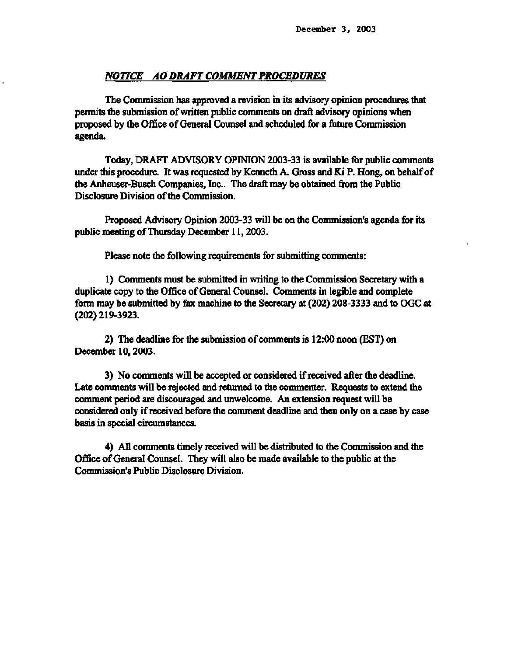### *NOTICE AO DRAFT COMMENT PROCEDURES*

**The Commission has approved a revision in its advisory opinion procedures that permits the submission of written public comments on draft advisory opinions when proposed by the Office of General Counsel and scheduled for a future Commission agenda.** 

**Today, DRAFT ADVISORY OPINION 2003-33 is available for public comments under this procedure. It was requested by Kenneth A. Gross and Ki P. Hong, on behalf of the Anheuser-Busch Companies, Inc.. The draft may be obtained from the Public Disclosure Division of the Commission.** 

**Proposed Advisory Opinion 2003-33 will be on the Commission's agenda for its public meeting of Thursday December 11,2003.** 

**Please note the following requirements for submitting comments:** 

**1) Comments must be submitted in writing to the Commission Secretary with a duplicate copy to the Office of General Counsel. Comments in legible and complete form may be submitted by fax machine to the Secretary at (202) 208-3333 and to OGC at (202) 219-3923.** 

**2) The deadline for the submission of comments is 12:00 noon (EST) on December 10,2003.** 

**3) No comments will be accepted or considered if received after the deadline. Late comments will be rejected and returned to the commenter. Requests to extend the comment period are discouraged and unwelcome. An extension request will be considered only if received before the comment deadline and then only on a case by case basis in special circumstances.** 

**4) All comments timely received will be distributed to the Commission and the Office of General Counsel. They will also be made available to the public at the Commission's Public Disclosure Division.**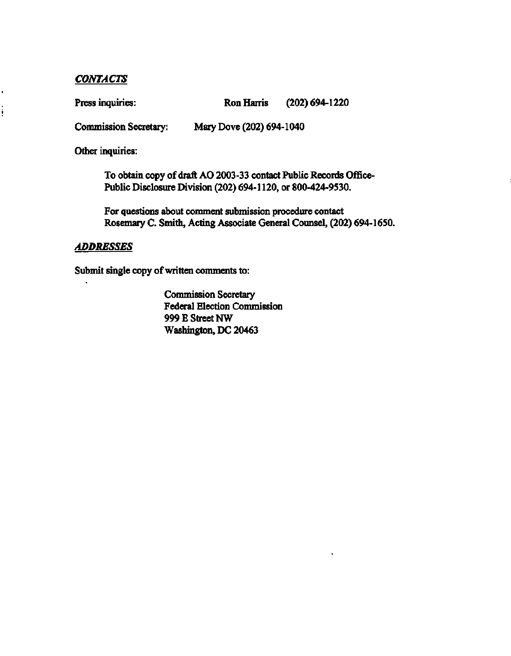## *CONTACTS*

,

 $\vdots$ 

**Press inquiries: Ron Harris (202) 694-1220** 

**Commission Secretary: Mary Dove (202) 694-1040** 

**Other inquiries:** 

**To obtain copy of draft AO 2003-33 contact Public Records Office-Public Disclosure Division (202) 694-1120, or 800-424-9530.** 

**For questions about comment submission procedure contact**  Rosemary C. Smith, Acting Associate General Counsel, (202) 694-1650. **Rosemary C. Smith, Acting Associate General Counsel, (202) 694-1650.** 

### **ADDRESSES** *ADDRESSES*

**Submit single copy of written comments to:** 

**Commission Secretary Federal Election Commission 999 E Street NW Washington, DC 20463**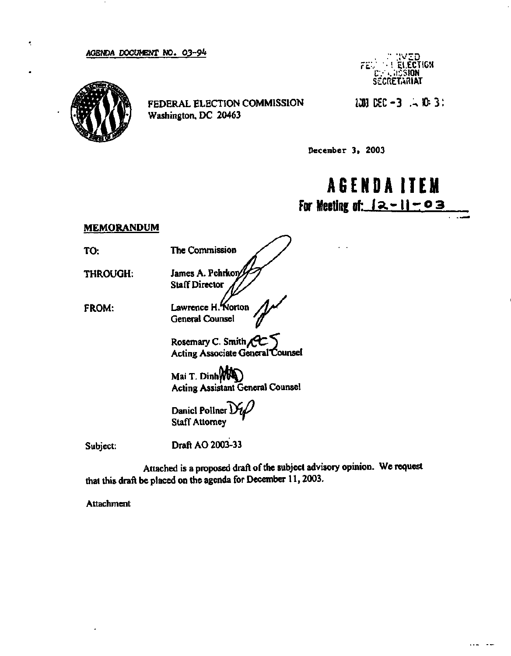#### **AGENDA DOCUMENT NO. 03-9 \***



t,

**FEDERAL ELECTION COMMISSION Washington, DC 20463** 

**••• ::vz o**  *?'£'•/* **"• ! . El.ECTlGH i: /. . USSION SECRETARIAT** 

**ZC03 DEC- 3 .^ 0 3 :** 

**December 3> 2003** 

# **AGENDAITE M For Meeting of: la.-II-0 3**

### **MEMORANDUM**

**TO:** 

**THROUGH:** 

**FROM:** 

**The Commission**  James A. Pehrkon **Staff Director** 

**Lawrence H."Norton General Counsel** 

**Rosemary C. Smith***/0C^*  **Acting Associate General"CounseI** 

Mai T. Dinh**WOO Acting Assistant General Counsel** 

Daniel Pollner *DU* **Staff Attorney** 

**Subject:** 

**Draft AO 2003-33** 

**Attached is a proposed draft of the subject advisory opinion. We request that this draft be placed on the agenda for December 11,2003.** 

**Attachment**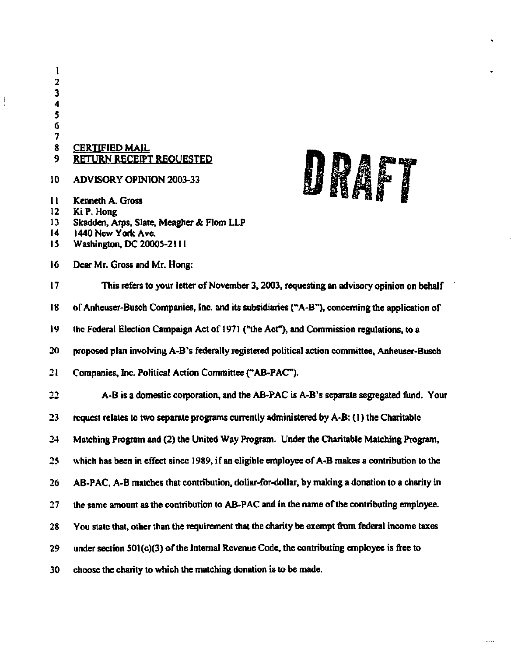**7 8 CERTIFIED MAIL**  9 **9 RETURN RECEIPT REQUESTED** 

- $10<sub>10</sub>$ **ADVISORY OPINION 2003-33**
- $\mathbf{11}$ Kenneth A. Gross
- 12 Ki P. Hong

ļ

- 13 Skadden, Arps, Slate, Meagher & Flom LLP
- **14 1440 New York Ave.**
- 15 Washington, DC 20005-2111
- **16 Dear Mr. Gross and Mr. Hong:**



 $\cdots$ 

**17 This refers to your letter of November 3,2003, requesting an advisory opinion on behalf 18 of Anheuser-Busch Companies, Inc. and its subsidiaries ("A-B"), concerning the application of 19 the Federal Election Campaign Act of 1971 ("the Act"), and Commission regulations, to a 20 proposed plan involving A-B's federally registered political action committee, Anheuser-Busch 21 Companies, Inc. Political Action Committee ("AB-PAC"). 22 A-B is a domestic corporation, and the AB-PAC is A-B's separate segregated fund. Your 23 request relates to two separate programs currently administered by A-B: (1) the Charitable 24 Mulching Program and (2) the United Way Program. Under the Charitable Matching Program, 25 which has been in effect since 1989, if an eligible employee of A-B makes a contribution to the**  26 AB-PAC, A-B matches that contribution, dollar-for-dollar, by making a donation to a charity in **27 the same amount as the contribution to AB-PAC and in the name of the contributing employee. 28 You state that, other than the requirement that the charity be exempt from federal income taxes 29 under section 501(c)(3) of the Internal Revenue Code, the contributing employee is free to 30 choose the charity to which the matching donation is to be made.**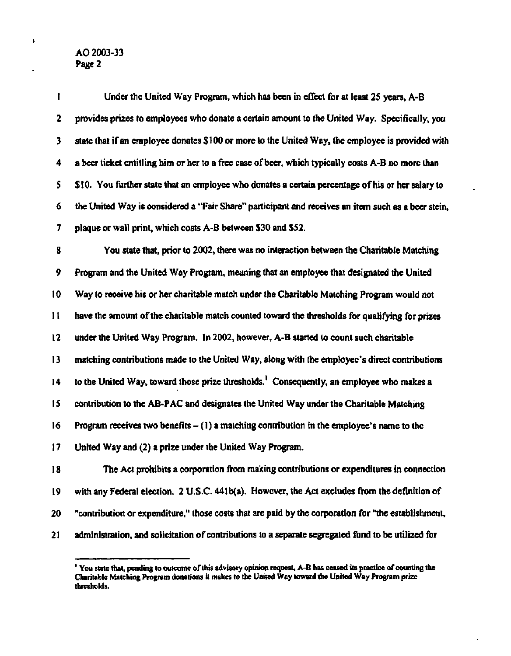### **AO 2003-33 Page 2**

J.

**1 Under the United Way Program, which has been in effect for at least 25 years, A-B 2 provides prizes to employees who donate a certain amount to the United Way. Specifically, you 3 state that if an employee donates \$100 or more to the United Way, the employee is provided with 4 a beer ticket entitling him or her to a free case of beer, which typically costs A-B no more than 5 SI 0. You further state that an employee who donates a certain percentage of his or her salary to 6 the United Way is considered a "Fair Share" participant and receives an item such as a beer stein, 7 plaque or wall print, which costs A-B between \$30 and \$52. 8 You state that, prior to 2002, there was no interaction between the Charitable Matching 9 Program and the United Way Program, meaning that an employee that designated the United 10 Way to receive his or her charitable match under the Charitable Matching Program would not 11 have the amount of the charitable match counted toward the thresholds for qualifying for prizes 12 under the United Way Program. In 2002, however, A-B started to count such charitable** 

**13 matching contributions made to the United Way, along with the employee's direct contributions** 

**14 to the United Way, toward those prize thresholds.' Consequently, an employee who makes a** 

**15 contribution to the AB-PAC and designates the United Way under the Charitable Matching** 

**16 Program receives two benefits - (1) a matching contribution in the employee's name to the** 

**17 United Way and (2) a prize under the United Way Program.** 

**18 The Act prohibits a corporation from making contributions or expenditures in connection 19 with any Federal election. 2 U.S.C. 441b(a). However, the Act excludes from the definition of 20 "contribution or expenditure," those costs that are paid by the corporation for "the establishment, 21 administration, and solicitation of contributions to a separate segregated fund to be utilized for** 

**<sup>1</sup> You state that, pending lo outcome of this advisory opinion request, A-D has ceased its practice of counting the Charitable Matching Program donations il makes to the United Way toward the United Way Program prize thresholds.**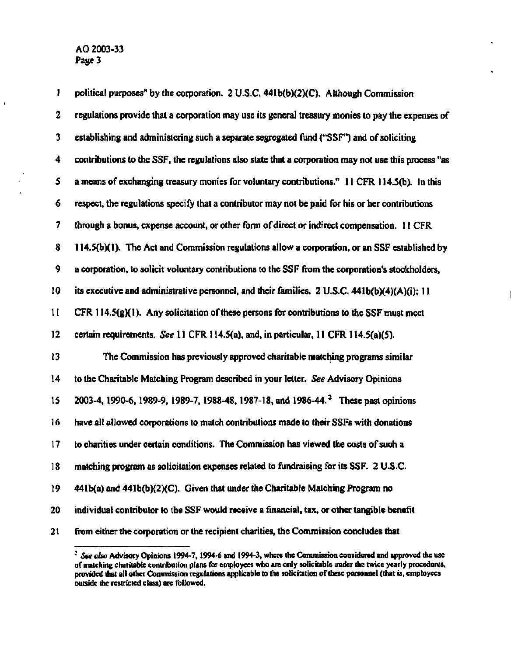**1 political purposes" by the corporation. 2 U.S.C. 441b(b)(2)(C). Although Commission 2 regulations provide that a corporation may use its general treasury monies to pay the expenses of 3 establishing and administering such a separate segregated fund ("SSF") and of soliciting 4 contributions to the SSF, the regulations also state that a corporation may not use this process "as 5 a means of exchanging treasury monies for voluntary contributions." 11 CFR 114.5(b). In this 6 respect, the regulations specify that a contributor may not be paid for his or her contributions 7 through a bonus, expense account, or other form of direct or indirect compensation. 11 CFR 8 114.5(b)( 1). The Act and Commission regulations allow a corporation, or an SSF established by 9 a corporation, to solicit voluntary contributions to the SSF from the corporation's stockholders, 10 its executive and administrative personnel, and their families. 2 U.S.C. 441b(b)(4)(A)(i); 11 11 CFR 114.5(g)( I). Any solicitation of these persons for contributions to the SSF must meet 12 certain requirements.** *See* **11 CFR 114.5(a), and, in particular, 11 CFR 114.5(a)(5). 13 The Commission has previously approved charitable matching programs similar 14 to the Charitable Matching Program described in your letter.** *See* **Advisory Opinions 15 2003-4, 1990-6,1989-9, 1989-7,1988-48,1987-18, and 1986-44.<sup>2</sup> These past opinions 16 have ail allowed corporations to match contributions made to their SSFs with donations 17 to charities under certain conditions. The Commission has viewed the costs of such a 18 matching program as solicitation expenses related to fundraising for its SSF. 2 U.S.C. 19 441 b(a) and 441b(b)(2XQ. Given that under the Charitable Matching Program no 20 individual contributor to the SSF would receive a financial, tax, or other tangible benefit 21 from either the corporation or the recipient charities, the Commission concludes that** 

**<sup>:</sup>**  *See also* **Advisory Opinions 1994-7,1994-6 and 1994-3, where the Commission considered and approved the use of matching charitable contribution plans for employees who are only solicitable under the twice yearly procedures, provided that all other Commission regulations applicable to the solicitation of these personnel (that is, employees outside the restricted class) are followed.**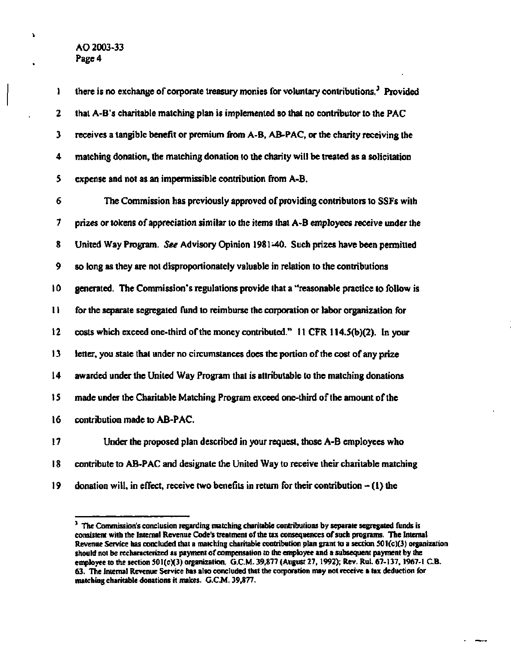**AO 2003-33 Page 4** 

À,

**1 there is no exchange of corporate treasury monies for voluntary contributions.<sup>3</sup> Provided 2 that A-B's charitable matching plan is implemented so that no contributor to the PAC 3 receives a tangible benefit or premium from A-B, AB-PAC, or the charity receiving the 4 matching donation, the matching donation to the charity will be treated as a solicitation 5 expense and not as an impermissible contribution from A-B.** 

**6 The Commission has previously approved of providing contributors to SSFs with 7 prizes or tokens of appreciation similar to the items that A-B employees receive under the 8 United Way Program.** *See* **Advisory Opinion 1981-40. Such prizes have been permitted 9 so long as they are not disproportionately valuable in relation to the contributions 10 generated. The Commission's regulations provide that a "reasonable practice to follow is 11 for the separate segregated fund to reimburse the corporation or labor organization for 12 costs which exceed one-third of the money contributed." 11 CFR 114.5(b)(2). In your 13 letter, you state that under no circumstances does the portion of the cost of any prize 14 awarded under the United Way Program that is attributable to the matching donations 15 made under the Charitable Matching Program exceed one-third of the amount of the 16 contribution made to AB-PAC. 17 Under the proposed plan described in your request, those A-B employees who** 

- **18 contribute to AB-PAC and designate the United Way to receive their charitable matching**
- **19 donation will, in effect, receive two benefits in return for their contribution (1) the**

**<sup>1</sup> The Commission's conclusion regarding matching charitable contributions by separate segregated funds is consistent with the Internal Revenue Code's treatment of the tax consequences of such programs. The Internal Revenue Service has concluded that a matching charitable contribution plan grant to a section 501(c)(3) organization should not be recharacterized as payment of compensation to the employee and a subsequent payment by the employee to the section 501(c)(3) organization. G.C.M. 39,877 (August 27,1992); Rev. Rut. 67-137,1967-1 C.B. 63. The Internal Revenue Service has also concluded that the corporation may not receive a tax deduction for matching charitable donations it makes. G.C.M. 39,877.**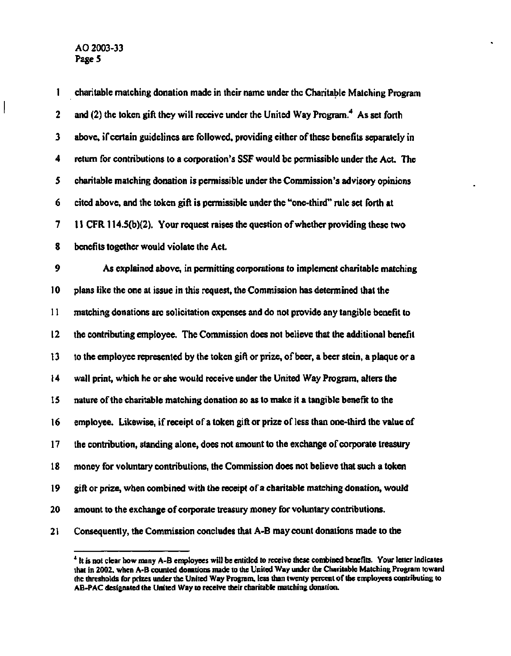$\bigg|$ 

| 1  | charitable matching donation made in their name under the Charitable Matching Program            |
|----|--------------------------------------------------------------------------------------------------|
| 2  | and (2) the token gift they will receive under the United Way Program. <sup>4</sup> As set forth |
| 3  | above, if certain guidelines are followed, providing either of these benefits separately in      |
| 4  | return for contributions to a corporation's SSF would be permissible under the Act. The          |
| 5  | charitable matching donation is permissible under the Commission's advisory opinions             |
| 6  | cited above, and the token gift is permissible under the "one-third" rule set forth at           |
| 7  | 11 CFR 114.5(b)(2). Your request raises the question of whether providing these two              |
| 8  | benefits together would violate the Act.                                                         |
| 9  | As explained above, in permitting corporations to implement charitable matching                  |
| 10 | plans like the one at issue in this request, the Commission has determined that the              |
| 11 | matching donations are solicitation expenses and do not provide any tangible benefit to          |
| 12 | the contributing employee. The Commission does not believe that the additional benefit           |
| 13 | to the employee represented by the token gift or prize, of beer, a beer stein, a plaque or a     |
| 14 | wall print, which he or she would receive under the United Way Program, alters the               |
| 15 | nature of the charitable matching donation so as to make it a tangible benefit to the            |
| 16 | employee. Likewise, if receipt of a token gift or prize of less than one-third the value of      |
| 17 | the contribution, standing alone, does not amount to the exchange of corporate treasury          |
| 18 | money for voluntary contributions, the Commission does not believe that such a token             |
| 19 | gift or prize, when combined with the receipt of a charitable matching donation, would           |
| 20 | amount to the exchange of corporate treasury money for voluntary contributions.                  |
| 21 | Consequently, the Commission concludes that A-B may count donations made to the                  |

 $\ddot{\phantom{a}}$ 

<sup>&</sup>lt;sup>4</sup> It is not clear how many A-B employees will be entitled to receive these combined benefits. Your letter indicates **that in 2002. when A-B counted donations made to the United Way under the Charitable Matching Program toward the thresholds for prizes under the United Way Program, less than twenty percent of the employees contributing to AB-PAC designated the United Way to receive their charitable matching donation.**